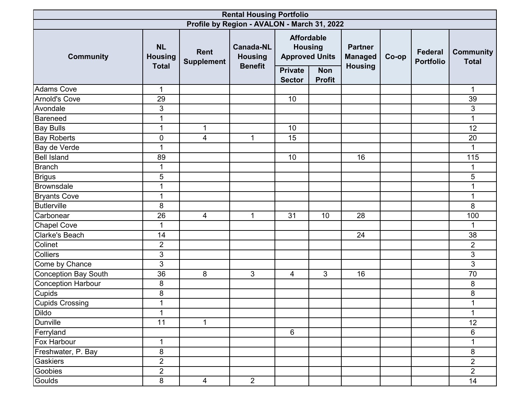| <b>Rental Housing Portfolio</b> |                             |                                  |                                             |                                                              |                             |                                  |       |                                    |                                  |  |  |  |
|---------------------------------|-----------------------------|----------------------------------|---------------------------------------------|--------------------------------------------------------------|-----------------------------|----------------------------------|-------|------------------------------------|----------------------------------|--|--|--|
|                                 |                             |                                  | Profile by Region - AVALON - March 31, 2022 |                                                              |                             |                                  |       |                                    |                                  |  |  |  |
| <b>Community</b>                | <b>NL</b><br><b>Housing</b> | <b>Rent</b><br><b>Supplement</b> | <b>Canada-NL</b><br><b>Housing</b>          | <b>Affordable</b><br><b>Housing</b><br><b>Approved Units</b> |                             | <b>Partner</b><br><b>Managed</b> | Co-op | <b>Federal</b><br><b>Portfolio</b> | <b>Community</b><br><b>Total</b> |  |  |  |
|                                 | <b>Total</b>                |                                  | <b>Benefit</b>                              | <b>Private</b><br><b>Sector</b>                              | <b>Non</b><br><b>Profit</b> | <b>Housing</b>                   |       |                                    |                                  |  |  |  |
| <b>Adams Cove</b>               | $\mathbf 1$                 |                                  |                                             |                                                              |                             |                                  |       |                                    | 1                                |  |  |  |
| Arnold's Cove                   | 29                          |                                  |                                             | 10                                                           |                             |                                  |       |                                    | 39                               |  |  |  |
| Avondale                        | 3                           |                                  |                                             |                                                              |                             |                                  |       |                                    | 3                                |  |  |  |
| Bareneed                        | 1                           |                                  |                                             |                                                              |                             |                                  |       |                                    |                                  |  |  |  |
| <b>Bay Bulls</b>                | $\mathbf{1}$                | $\mathbf{1}$                     |                                             | 10                                                           |                             |                                  |       |                                    | 12                               |  |  |  |
| <b>Bay Roberts</b>              | 0                           | 4                                | $\mathbf{1}$                                | 15                                                           |                             |                                  |       |                                    | 20                               |  |  |  |
| Bay de Verde                    | $\mathbf{1}$                |                                  |                                             |                                                              |                             |                                  |       |                                    | $\mathbf{1}$                     |  |  |  |
| <b>Bell Island</b>              | 89                          |                                  |                                             | 10                                                           |                             | 16                               |       |                                    | 115                              |  |  |  |
| <b>Branch</b>                   | 1                           |                                  |                                             |                                                              |                             |                                  |       |                                    |                                  |  |  |  |
| <b>Brigus</b>                   | 5                           |                                  |                                             |                                                              |                             |                                  |       |                                    | $\sqrt{5}$                       |  |  |  |
| Brownsdale                      | $\mathbf{1}$                |                                  |                                             |                                                              |                             |                                  |       |                                    | 1                                |  |  |  |
| <b>Bryants Cove</b>             | $\mathbf{1}$                |                                  |                                             |                                                              |                             |                                  |       |                                    | 1                                |  |  |  |
| <b>Butlerville</b>              | 8                           |                                  |                                             |                                                              |                             |                                  |       |                                    | 8                                |  |  |  |
| Carbonear                       | 26                          | $\overline{4}$                   | $\mathbf{1}$                                | 31                                                           | 10                          | 28                               |       |                                    | 100                              |  |  |  |
| <b>Chapel Cove</b>              | $\mathbf{1}$                |                                  |                                             |                                                              |                             |                                  |       |                                    | 1                                |  |  |  |
| <b>Clarke's Beach</b>           | 14                          |                                  |                                             |                                                              |                             | 24                               |       |                                    | 38                               |  |  |  |
| Colinet                         | $\overline{2}$              |                                  |                                             |                                                              |                             |                                  |       |                                    | $\overline{2}$                   |  |  |  |
| Colliers                        | $\ensuremath{\mathsf{3}}$   |                                  |                                             |                                                              |                             |                                  |       |                                    | 3                                |  |  |  |
| Come by Chance                  | $\ensuremath{\mathsf{3}}$   |                                  |                                             |                                                              |                             |                                  |       |                                    | 3                                |  |  |  |
| Conception Bay South            | 36                          | 8                                | 3                                           | 4                                                            | 3                           | 16                               |       |                                    | 70                               |  |  |  |
| Conception Harbour              | 8                           |                                  |                                             |                                                              |                             |                                  |       |                                    | 8                                |  |  |  |
| <b>Cupids</b>                   | 8                           |                                  |                                             |                                                              |                             |                                  |       |                                    | 8                                |  |  |  |
| <b>Cupids Crossing</b>          | 1                           |                                  |                                             |                                                              |                             |                                  |       |                                    | 1                                |  |  |  |
| <b>Dildo</b>                    | $\overline{1}$              |                                  |                                             |                                                              |                             |                                  |       |                                    | 1                                |  |  |  |
| <b>Dunville</b>                 | 11                          | $\mathbf{1}$                     |                                             |                                                              |                             |                                  |       |                                    | 12                               |  |  |  |
| Ferryland                       |                             |                                  |                                             | $6\phantom{1}$                                               |                             |                                  |       |                                    | $6\phantom{1}$                   |  |  |  |
| Fox Harbour                     | $\mathbf{1}$                |                                  |                                             |                                                              |                             |                                  |       |                                    | 1                                |  |  |  |
| Freshwater, P. Bay              | 8                           |                                  |                                             |                                                              |                             |                                  |       |                                    | 8                                |  |  |  |
| Gaskiers                        | $\overline{2}$              |                                  |                                             |                                                              |                             |                                  |       |                                    | $\overline{2}$                   |  |  |  |
| Goobies                         | $\overline{2}$              |                                  |                                             |                                                              |                             |                                  |       |                                    | $\overline{2}$                   |  |  |  |
| Goulds                          | 8                           | $\overline{4}$                   | $\overline{2}$                              |                                                              |                             |                                  |       |                                    | 14                               |  |  |  |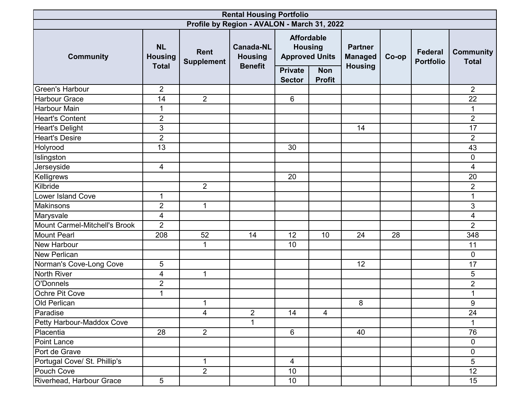| <b>Rental Housing Portfolio</b> |                                             |                                  |                                                      |                                                              |                             |                                                    |       |                                    |                                  |  |  |
|---------------------------------|---------------------------------------------|----------------------------------|------------------------------------------------------|--------------------------------------------------------------|-----------------------------|----------------------------------------------------|-------|------------------------------------|----------------------------------|--|--|
|                                 |                                             |                                  | Profile by Region - AVALON - March 31, 2022          |                                                              |                             |                                                    |       |                                    |                                  |  |  |
| <b>Community</b>                | <b>NL</b><br><b>Housing</b><br><b>Total</b> | <b>Rent</b><br><b>Supplement</b> | <b>Canada-NL</b><br><b>Housing</b><br><b>Benefit</b> | <b>Affordable</b><br><b>Housing</b><br><b>Approved Units</b> |                             | <b>Partner</b><br><b>Managed</b><br><b>Housing</b> | Co-op | <b>Federal</b><br><b>Portfolio</b> | <b>Community</b><br><b>Total</b> |  |  |
|                                 |                                             |                                  |                                                      | <b>Private</b><br><b>Sector</b>                              | <b>Non</b><br><b>Profit</b> |                                                    |       |                                    |                                  |  |  |
| <b>Green's Harbour</b>          | $\overline{2}$                              |                                  |                                                      |                                                              |                             |                                                    |       |                                    | $\overline{2}$                   |  |  |
| <b>Harbour Grace</b>            | 14                                          | $\overline{2}$                   |                                                      | 6                                                            |                             |                                                    |       |                                    | 22                               |  |  |
| <b>Harbour Main</b>             | $\mathbf{1}$                                |                                  |                                                      |                                                              |                             |                                                    |       |                                    | 1                                |  |  |
| <b>Heart's Content</b>          | $\overline{2}$                              |                                  |                                                      |                                                              |                             |                                                    |       |                                    | $\overline{2}$                   |  |  |
| <b>Heart's Delight</b>          | 3                                           |                                  |                                                      |                                                              |                             | 14                                                 |       |                                    | $\overline{17}$                  |  |  |
| <b>Heart's Desire</b>           | $\overline{2}$                              |                                  |                                                      |                                                              |                             |                                                    |       |                                    | $\overline{2}$                   |  |  |
| Holyrood                        | 13                                          |                                  |                                                      | 30                                                           |                             |                                                    |       |                                    | 43                               |  |  |
| Islingston                      |                                             |                                  |                                                      |                                                              |                             |                                                    |       |                                    | $\mathbf 0$                      |  |  |
| Jerseyside                      | 4                                           |                                  |                                                      |                                                              |                             |                                                    |       |                                    | 4                                |  |  |
| Kelligrews                      |                                             |                                  |                                                      | 20                                                           |                             |                                                    |       |                                    | 20                               |  |  |
| Kilbride                        |                                             | $\overline{2}$                   |                                                      |                                                              |                             |                                                    |       |                                    | $\overline{2}$                   |  |  |
| <b>Lower Island Cove</b>        | $\mathbf{1}$                                |                                  |                                                      |                                                              |                             |                                                    |       |                                    | $\mathbf{1}$                     |  |  |
| <b>Makinsons</b>                | $\overline{2}$                              | $\mathbf{1}$                     |                                                      |                                                              |                             |                                                    |       |                                    | 3                                |  |  |
| Marysvale                       | 4                                           |                                  |                                                      |                                                              |                             |                                                    |       |                                    | 4                                |  |  |
| Mount Carmel-Mitchell's Brook   | 2                                           |                                  |                                                      |                                                              |                             |                                                    |       |                                    | $\overline{2}$                   |  |  |
| <b>Mount Pearl</b>              | 208                                         | 52                               | 14                                                   | 12                                                           | 10                          | 24                                                 | 28    |                                    | 348                              |  |  |
| <b>New Harbour</b>              |                                             | $\mathbf 1$                      |                                                      | 10                                                           |                             |                                                    |       |                                    | 11                               |  |  |
| <b>New Perlican</b>             |                                             |                                  |                                                      |                                                              |                             |                                                    |       |                                    | $\mathbf 0$                      |  |  |
| Norman's Cove-Long Cove         | 5                                           |                                  |                                                      |                                                              |                             | 12                                                 |       |                                    | 17                               |  |  |
| North River                     | 4                                           | $\mathbf{1}$                     |                                                      |                                                              |                             |                                                    |       |                                    | 5                                |  |  |
| O'Donnels                       | $\overline{2}$                              |                                  |                                                      |                                                              |                             |                                                    |       |                                    | $\overline{2}$                   |  |  |
| Ochre Pit Cove                  | $\mathbf{1}$                                |                                  |                                                      |                                                              |                             |                                                    |       |                                    | 1                                |  |  |
| <b>Old Perlican</b>             |                                             | 1                                |                                                      |                                                              |                             | 8                                                  |       |                                    | 9                                |  |  |
| Paradise                        |                                             | $\overline{4}$                   | $\overline{c}$                                       | 14                                                           | 4                           |                                                    |       |                                    | 24                               |  |  |
| Petty Harbour-Maddox Cove       |                                             |                                  | 1                                                    |                                                              |                             |                                                    |       |                                    |                                  |  |  |
| Placentia                       | 28                                          | $2^{\circ}$                      |                                                      | $6\phantom{1}$                                               |                             | 40                                                 |       |                                    | 76                               |  |  |
| Point Lance                     |                                             |                                  |                                                      |                                                              |                             |                                                    |       |                                    | $\overline{0}$                   |  |  |
| Port de Grave                   |                                             |                                  |                                                      |                                                              |                             |                                                    |       |                                    | $\mathbf 0$                      |  |  |
| Portugal Cove/ St. Phillip's    |                                             | $\mathbf{1}$                     |                                                      | $\overline{4}$                                               |                             |                                                    |       |                                    | 5                                |  |  |
| Pouch Cove                      |                                             | $\overline{2}$                   |                                                      | 10                                                           |                             |                                                    |       |                                    | $\overline{12}$                  |  |  |
| Riverhead, Harbour Grace        | $\overline{5}$                              |                                  |                                                      | 10 <sup>°</sup>                                              |                             |                                                    |       |                                    | 15 <sub>15</sub>                 |  |  |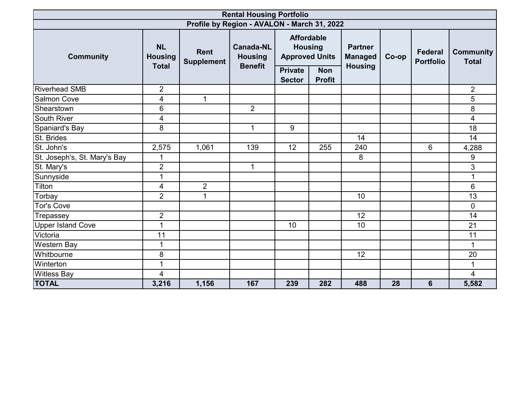|                                             |                                             |                                  | <b>Rental Housing Portfolio</b>                      |                |                                                                                                                                                   |     |       |                                    |                                  |  |
|---------------------------------------------|---------------------------------------------|----------------------------------|------------------------------------------------------|----------------|---------------------------------------------------------------------------------------------------------------------------------------------------|-----|-------|------------------------------------|----------------------------------|--|
| Profile by Region - AVALON - March 31, 2022 |                                             |                                  |                                                      |                |                                                                                                                                                   |     |       |                                    |                                  |  |
| <b>Community</b>                            | <b>NL</b><br><b>Housing</b><br><b>Total</b> | <b>Rent</b><br><b>Supplement</b> | <b>Canada-NL</b><br><b>Housing</b><br><b>Benefit</b> | <b>Private</b> | <b>Affordable</b><br><b>Housing</b><br><b>Partner</b><br><b>Approved Units</b><br><b>Managed</b><br><b>Housing</b><br><b>Non</b><br><b>Profit</b> |     | Co-op | <b>Federal</b><br><b>Portfolio</b> | <b>Community</b><br><b>Total</b> |  |
| <b>Riverhead SMB</b>                        | $\overline{2}$                              |                                  |                                                      | <b>Sector</b>  |                                                                                                                                                   |     |       |                                    | $\overline{2}$                   |  |
| <b>Salmon Cove</b>                          | 4                                           | $\mathbf 1$                      |                                                      |                |                                                                                                                                                   |     |       |                                    | 5                                |  |
| Shearstown                                  | 6                                           |                                  | $\overline{2}$                                       |                |                                                                                                                                                   |     |       |                                    | 8                                |  |
| <b>South River</b>                          | 4                                           |                                  |                                                      |                |                                                                                                                                                   |     |       |                                    | 4                                |  |
| Spaniard's Bay                              | 8                                           |                                  | $\mathbf 1$                                          | 9              |                                                                                                                                                   |     |       |                                    | 18                               |  |
| St. Brides                                  |                                             |                                  |                                                      |                |                                                                                                                                                   | 14  |       |                                    | 14                               |  |
| St. John's                                  | 2,575                                       | 1,061                            | 139                                                  | 12             | 255                                                                                                                                               | 240 |       | 6                                  | 4,288                            |  |
| St. Joseph's, St. Mary's Bay                | $\mathbf 1$                                 |                                  |                                                      |                |                                                                                                                                                   | 8   |       |                                    | 9                                |  |
| St. Mary's                                  | $\overline{2}$                              |                                  | $\mathbf 1$                                          |                |                                                                                                                                                   |     |       |                                    | 3                                |  |
| Sunnyside                                   | $\mathbf{1}$                                |                                  |                                                      |                |                                                                                                                                                   |     |       |                                    | 1                                |  |
| Tilton                                      | 4                                           | $\overline{2}$                   |                                                      |                |                                                                                                                                                   |     |       |                                    | 6                                |  |
| Torbay                                      | $\overline{2}$                              | 1                                |                                                      |                |                                                                                                                                                   | 10  |       |                                    | 13                               |  |
| <b>Tor's Cove</b>                           |                                             |                                  |                                                      |                |                                                                                                                                                   |     |       |                                    | $\overline{0}$                   |  |
| Trepassey                                   | $\overline{2}$                              |                                  |                                                      |                |                                                                                                                                                   | 12  |       |                                    | 14                               |  |
| <b>Upper Island Cove</b>                    | $\mathbf{1}$                                |                                  |                                                      | 10             |                                                                                                                                                   | 10  |       |                                    | 21                               |  |
| Victoria                                    | 11                                          |                                  |                                                      |                |                                                                                                                                                   |     |       |                                    | 11                               |  |
| <b>Western Bay</b>                          | $\mathbf 1$                                 |                                  |                                                      |                |                                                                                                                                                   |     |       |                                    |                                  |  |
| Whitbourne                                  | 8                                           |                                  |                                                      |                |                                                                                                                                                   | 12  |       |                                    | 20                               |  |
| Winterton                                   | 1                                           |                                  |                                                      |                |                                                                                                                                                   |     |       |                                    | 1                                |  |
| <b>Witless Bay</b>                          | 4                                           |                                  |                                                      |                |                                                                                                                                                   |     |       |                                    | 4                                |  |
| <b>TOTAL</b>                                | 3,216                                       | 1,156                            | 167                                                  | 239            | 282                                                                                                                                               | 488 | 28    | 6                                  | 5,582                            |  |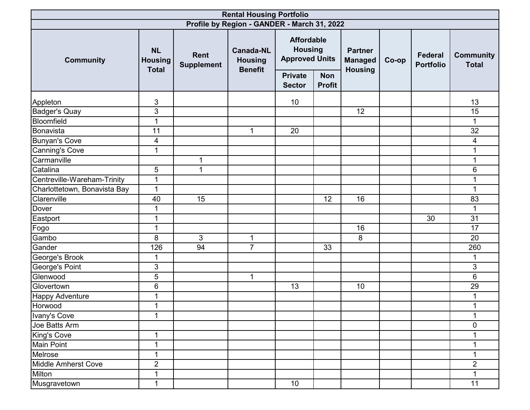| <b>Rental Housing Portfolio</b> |                                             |                                  |                                                      |                                 |                                                              |                |       |                                    |                                  |  |  |
|---------------------------------|---------------------------------------------|----------------------------------|------------------------------------------------------|---------------------------------|--------------------------------------------------------------|----------------|-------|------------------------------------|----------------------------------|--|--|
|                                 |                                             |                                  | Profile by Region - GANDER - March 31, 2022          |                                 |                                                              |                |       |                                    |                                  |  |  |
| <b>Community</b>                | <b>NL</b><br><b>Housing</b><br><b>Total</b> | <b>Rent</b><br><b>Supplement</b> | <b>Canada-NL</b><br><b>Housing</b><br><b>Benefit</b> |                                 | <b>Affordable</b><br><b>Housing</b><br><b>Approved Units</b> |                | Co-op | <b>Federal</b><br><b>Portfolio</b> | <b>Community</b><br><b>Total</b> |  |  |
|                                 |                                             |                                  |                                                      | <b>Private</b><br><b>Sector</b> | <b>Non</b><br><b>Profit</b>                                  | <b>Housing</b> |       |                                    |                                  |  |  |
| Appleton                        | 3                                           |                                  |                                                      | 10                              |                                                              |                |       |                                    | 13                               |  |  |
| <b>Badger's Quay</b>            | 3                                           |                                  |                                                      |                                 |                                                              | 12             |       |                                    | 15                               |  |  |
| Bloomfield                      | $\mathbf{1}$                                |                                  |                                                      |                                 |                                                              |                |       |                                    |                                  |  |  |
| Bonavista                       | 11                                          |                                  | $\mathbf{1}$                                         | 20                              |                                                              |                |       |                                    | 32                               |  |  |
| <b>Bunyan's Cove</b>            | 4                                           |                                  |                                                      |                                 |                                                              |                |       |                                    | 4                                |  |  |
| <b>Canning's Cove</b>           | $\mathbf{1}$                                |                                  |                                                      |                                 |                                                              |                |       |                                    |                                  |  |  |
| Carmanville                     |                                             | $\mathbf{1}$                     |                                                      |                                 |                                                              |                |       |                                    | 1                                |  |  |
| Catalina                        | 5                                           | $\mathbf{1}$                     |                                                      |                                 |                                                              |                |       |                                    | 6                                |  |  |
| Centreville-Wareham-Trinity     | $\mathbf{1}$                                |                                  |                                                      |                                 |                                                              |                |       |                                    | 1                                |  |  |
| Charlottetown, Bonavista Bay    | $\mathbf 1$                                 |                                  |                                                      |                                 |                                                              |                |       |                                    | 1                                |  |  |
| Clarenville                     | 40                                          | 15                               |                                                      |                                 | 12                                                           | 16             |       |                                    | 83                               |  |  |
| Dover                           | $\mathbf 1$                                 |                                  |                                                      |                                 |                                                              |                |       |                                    | $\mathbf{1}$                     |  |  |
| Eastport                        | $\mathbf 1$                                 |                                  |                                                      |                                 |                                                              |                |       | 30                                 | 31                               |  |  |
| Fogo                            | $\mathbf{1}$                                |                                  |                                                      |                                 |                                                              | 16             |       |                                    | 17                               |  |  |
| Gambo                           | 8                                           | $\mathbf{3}$                     | 1                                                    |                                 |                                                              | 8              |       |                                    | 20                               |  |  |
| Gander                          | 126                                         | $\overline{94}$                  | $\overline{7}$                                       |                                 | 33                                                           |                |       |                                    | 260                              |  |  |
| George's Brook                  | 1                                           |                                  |                                                      |                                 |                                                              |                |       |                                    | 1                                |  |  |
| George's Point                  | 3                                           |                                  |                                                      |                                 |                                                              |                |       |                                    | 3                                |  |  |
| Glenwood                        | 5                                           |                                  | $\mathbf{1}$                                         |                                 |                                                              |                |       |                                    | 6                                |  |  |
| Glovertown                      | 6                                           |                                  |                                                      | 13                              |                                                              | 10             |       |                                    | 29                               |  |  |
| <b>Happy Adventure</b>          | 1                                           |                                  |                                                      |                                 |                                                              |                |       |                                    |                                  |  |  |
| Horwood                         | 1                                           |                                  |                                                      |                                 |                                                              |                |       |                                    |                                  |  |  |
| Ivany's Cove                    | 1                                           |                                  |                                                      |                                 |                                                              |                |       |                                    | $\mathbf{1}$                     |  |  |
| Joe Batts Arm                   |                                             |                                  |                                                      |                                 |                                                              |                |       |                                    | $\pmb{0}$                        |  |  |
| King's Cove                     | 1                                           |                                  |                                                      |                                 |                                                              |                |       |                                    |                                  |  |  |
| Main Point                      | 1                                           |                                  |                                                      |                                 |                                                              |                |       |                                    | 1                                |  |  |
| Melrose                         | 1                                           |                                  |                                                      |                                 |                                                              |                |       |                                    |                                  |  |  |
| Middle Amherst Cove             | $\overline{2}$                              |                                  |                                                      |                                 |                                                              |                |       |                                    | $\overline{2}$                   |  |  |
| Milton                          | 1                                           |                                  |                                                      |                                 |                                                              |                |       |                                    |                                  |  |  |
| Musgravetown                    | $\mathbf 1$                                 |                                  |                                                      | 10                              |                                                              |                |       |                                    | 11                               |  |  |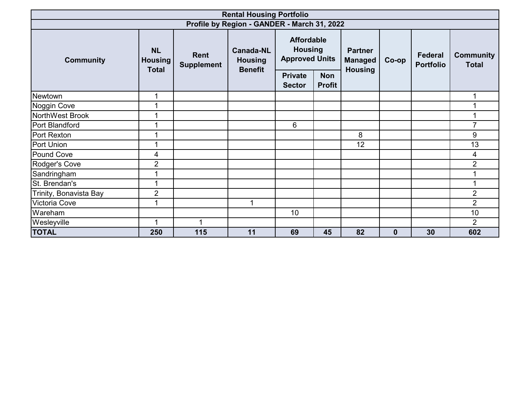| <b>Rental Housing Portfolio</b> |                                             |                           |                                                      |                                                              |                             |                                                    |                  |                                    |                                  |  |  |
|---------------------------------|---------------------------------------------|---------------------------|------------------------------------------------------|--------------------------------------------------------------|-----------------------------|----------------------------------------------------|------------------|------------------------------------|----------------------------------|--|--|
|                                 |                                             |                           | Profile by Region - GANDER - March 31, 2022          |                                                              |                             |                                                    |                  |                                    |                                  |  |  |
| <b>Community</b>                | <b>NL</b><br><b>Housing</b><br><b>Total</b> | Rent<br><b>Supplement</b> | <b>Canada-NL</b><br><b>Housing</b><br><b>Benefit</b> | <b>Affordable</b><br><b>Housing</b><br><b>Approved Units</b> |                             | <b>Partner</b><br><b>Managed</b><br><b>Housing</b> |                  | <b>Federal</b><br><b>Portfolio</b> | <b>Community</b><br><b>Total</b> |  |  |
|                                 |                                             |                           |                                                      | <b>Private</b><br><b>Sector</b>                              | <b>Non</b><br><b>Profit</b> |                                                    |                  |                                    |                                  |  |  |
| Newtown                         | 1                                           |                           |                                                      |                                                              |                             |                                                    |                  |                                    |                                  |  |  |
| Noggin Cove                     | 4                                           |                           |                                                      |                                                              |                             |                                                    |                  |                                    |                                  |  |  |
| NorthWest Brook                 |                                             |                           |                                                      |                                                              |                             |                                                    |                  |                                    |                                  |  |  |
| Port Blandford                  |                                             |                           |                                                      | 6                                                            |                             |                                                    |                  |                                    | 7                                |  |  |
| Port Rexton                     |                                             |                           |                                                      |                                                              |                             | 8                                                  |                  |                                    | 9                                |  |  |
| Port Union                      |                                             |                           |                                                      |                                                              |                             | 12                                                 |                  |                                    | 13                               |  |  |
| Pound Cove                      | 4                                           |                           |                                                      |                                                              |                             |                                                    |                  |                                    | 4                                |  |  |
| Rodger's Cove                   | $\overline{2}$                              |                           |                                                      |                                                              |                             |                                                    |                  |                                    | $\overline{2}$                   |  |  |
| Sandringham                     | 4                                           |                           |                                                      |                                                              |                             |                                                    |                  |                                    |                                  |  |  |
| St. Brendan's                   |                                             |                           |                                                      |                                                              |                             |                                                    |                  |                                    |                                  |  |  |
| Trinity, Bonavista Bay          | $\overline{2}$                              |                           |                                                      |                                                              |                             |                                                    |                  |                                    | $\overline{2}$                   |  |  |
| Victoria Cove                   |                                             |                           | 1                                                    |                                                              |                             |                                                    |                  |                                    | $\overline{2}$                   |  |  |
| Wareham                         |                                             |                           |                                                      | 10                                                           |                             |                                                    |                  |                                    | 10                               |  |  |
| Wesleyville                     | 1                                           | 1                         |                                                      |                                                              |                             |                                                    |                  |                                    | $\overline{2}$                   |  |  |
| <b>TOTAL</b>                    | 250                                         | 115                       | 11                                                   | 69                                                           | 45                          | 82                                                 | $\boldsymbol{0}$ | 30                                 | 602                              |  |  |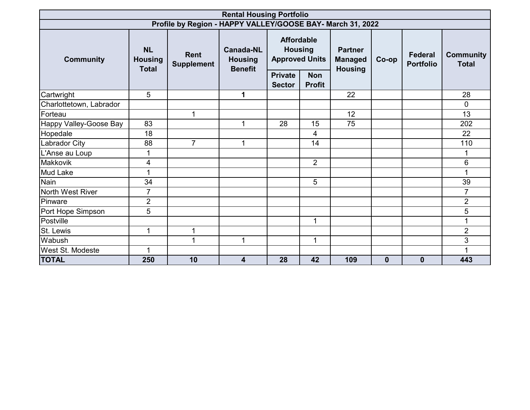|                         | <b>Rental Housing Portfolio</b>             |                                                            |                                                      |                                                                |                |                                                    |          |                                    |                                  |  |  |  |
|-------------------------|---------------------------------------------|------------------------------------------------------------|------------------------------------------------------|----------------------------------------------------------------|----------------|----------------------------------------------------|----------|------------------------------------|----------------------------------|--|--|--|
|                         |                                             | Profile by Region - HAPPY VALLEY/GOOSE BAY- March 31, 2022 |                                                      |                                                                |                |                                                    |          |                                    |                                  |  |  |  |
| <b>Community</b>        | <b>NL</b><br><b>Housing</b><br><b>Total</b> | <b>Rent</b><br><b>Supplement</b>                           | <b>Canada-NL</b><br><b>Housing</b><br><b>Benefit</b> | <b>Affordable</b><br><b>Housing</b><br><b>Approved Units</b>   |                | <b>Partner</b><br><b>Managed</b><br><b>Housing</b> | Co-op    | <b>Federal</b><br><b>Portfolio</b> | <b>Community</b><br><b>Total</b> |  |  |  |
|                         |                                             |                                                            |                                                      | <b>Private</b><br><b>Non</b><br><b>Profit</b><br><b>Sector</b> |                |                                                    |          |                                    |                                  |  |  |  |
| Cartwright              | 5                                           |                                                            | 1                                                    |                                                                |                | 22                                                 |          |                                    | 28                               |  |  |  |
| Charlottetown, Labrador |                                             |                                                            |                                                      |                                                                |                |                                                    |          |                                    | $\mathbf 0$                      |  |  |  |
| Forteau                 |                                             | $\mathbf{1}$                                               |                                                      |                                                                |                | 12                                                 |          |                                    | 13                               |  |  |  |
| Happy Valley-Goose Bay  | 83                                          |                                                            | $\mathbf{1}$                                         | 28                                                             | 15             | 75                                                 |          |                                    | 202                              |  |  |  |
| Hopedale                | 18                                          |                                                            |                                                      |                                                                | 4              |                                                    |          |                                    | 22                               |  |  |  |
| <b>Labrador City</b>    | 88                                          | $\overline{7}$                                             | 1                                                    |                                                                | 14             |                                                    |          |                                    | 110                              |  |  |  |
| L'Anse au Loup          | 1                                           |                                                            |                                                      |                                                                |                |                                                    |          |                                    | 1                                |  |  |  |
| Makkovik                | 4                                           |                                                            |                                                      |                                                                | $\overline{2}$ |                                                    |          |                                    | 6                                |  |  |  |
| <b>Mud Lake</b>         | 1                                           |                                                            |                                                      |                                                                |                |                                                    |          |                                    | 1                                |  |  |  |
| Nain                    | 34                                          |                                                            |                                                      |                                                                | 5              |                                                    |          |                                    | 39                               |  |  |  |
| North West River        | $\overline{7}$                              |                                                            |                                                      |                                                                |                |                                                    |          |                                    | $\overline{7}$                   |  |  |  |
| Pinware                 | $\overline{2}$                              |                                                            |                                                      |                                                                |                |                                                    |          |                                    | $\overline{2}$                   |  |  |  |
| Port Hope Simpson       | 5                                           |                                                            |                                                      |                                                                |                |                                                    |          |                                    | 5                                |  |  |  |
| Postville               |                                             |                                                            |                                                      |                                                                | $\mathbf{1}$   |                                                    |          |                                    | 1                                |  |  |  |
| St. Lewis               | 1                                           | 1                                                          |                                                      |                                                                |                |                                                    |          |                                    | $\overline{2}$                   |  |  |  |
| Wabush                  |                                             | 1                                                          | 1                                                    |                                                                | $\mathbf 1$    |                                                    |          |                                    | 3                                |  |  |  |
| <b>West St. Modeste</b> | 1                                           |                                                            |                                                      |                                                                |                |                                                    |          |                                    | 1                                |  |  |  |
| <b>TOTAL</b>            | 250                                         | 10                                                         | 4                                                    | 28                                                             | 42             | 109                                                | $\bf{0}$ | $\bf{0}$                           | 443                              |  |  |  |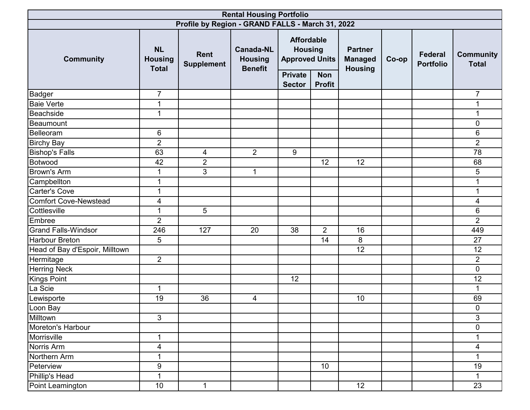| <b>Rental Housing Portfolio</b>     |                                             |                                                  |                                                      |                                                                                |                |                                                    |       |                                    |                                  |  |
|-------------------------------------|---------------------------------------------|--------------------------------------------------|------------------------------------------------------|--------------------------------------------------------------------------------|----------------|----------------------------------------------------|-------|------------------------------------|----------------------------------|--|
|                                     |                                             | Profile by Region - GRAND FALLS - March 31, 2022 |                                                      |                                                                                |                |                                                    |       |                                    |                                  |  |
| <b>Community</b>                    | <b>NL</b><br><b>Housing</b><br><b>Total</b> | Rent<br><b>Supplement</b>                        | <b>Canada-NL</b><br><b>Housing</b><br><b>Benefit</b> | <b>Affordable</b><br><b>Housing</b><br><b>Approved Units</b><br><b>Private</b> | <b>Non</b>     | <b>Partner</b><br><b>Managed</b><br><b>Housing</b> | Co-op | <b>Federal</b><br><b>Portfolio</b> | <b>Community</b><br><b>Total</b> |  |
|                                     |                                             |                                                  |                                                      | <b>Sector</b>                                                                  | <b>Profit</b>  |                                                    |       |                                    |                                  |  |
| <b>Badger</b>                       | $\overline{7}$                              |                                                  |                                                      |                                                                                |                |                                                    |       |                                    | $\overline{7}$                   |  |
| <b>Baie Verte</b>                   | $\mathbf 1$                                 |                                                  |                                                      |                                                                                |                |                                                    |       |                                    |                                  |  |
| <b>Beachside</b>                    | 1                                           |                                                  |                                                      |                                                                                |                |                                                    |       |                                    |                                  |  |
| Beaumount                           |                                             |                                                  |                                                      |                                                                                |                |                                                    |       |                                    | $\overline{0}$                   |  |
| Belleoram                           | 6                                           |                                                  |                                                      |                                                                                |                |                                                    |       |                                    | 6                                |  |
| <b>Birchy Bay</b>                   | $\overline{2}$                              |                                                  |                                                      |                                                                                |                |                                                    |       |                                    | $\overline{2}$                   |  |
| <b>Bishop's Falls</b>               | 63                                          | 4                                                | $\overline{2}$                                       | 9                                                                              |                |                                                    |       |                                    | 78                               |  |
| Botwood                             | 42                                          | $\overline{2}$<br>3                              | 1                                                    |                                                                                | 12             | 12                                                 |       |                                    | 68                               |  |
| <b>Brown's Arm</b>                  | 1<br>1                                      |                                                  |                                                      |                                                                                |                |                                                    |       |                                    | 5                                |  |
| Campbellton<br><b>Carter's Cove</b> |                                             |                                                  |                                                      |                                                                                |                |                                                    |       |                                    |                                  |  |
|                                     | 1                                           |                                                  |                                                      |                                                                                |                |                                                    |       |                                    |                                  |  |
| <b>Comfort Cove-Newstead</b>        | 4                                           |                                                  |                                                      |                                                                                |                |                                                    |       |                                    | 4                                |  |
| Cottlesville                        | $\mathbf 1$                                 | 5                                                |                                                      |                                                                                |                |                                                    |       |                                    | $\,6$                            |  |
| Embree                              | $\overline{2}$                              |                                                  |                                                      |                                                                                |                |                                                    |       |                                    | $\overline{2}$                   |  |
| <b>Grand Falls-Windsor</b>          | 246                                         | 127                                              | 20                                                   | 38                                                                             | $\overline{2}$ | 16                                                 |       |                                    | 449                              |  |
| <b>Harbour Breton</b>               | 5                                           |                                                  |                                                      |                                                                                | 14             | 8                                                  |       |                                    | 27                               |  |
| Head of Bay d'Espoir, Milltown      |                                             |                                                  |                                                      |                                                                                |                | 12                                                 |       |                                    | 12                               |  |
| Hermitage                           | $\overline{2}$                              |                                                  |                                                      |                                                                                |                |                                                    |       |                                    | $\overline{2}$                   |  |
| <b>Herring Neck</b>                 |                                             |                                                  |                                                      |                                                                                |                |                                                    |       |                                    | $\mathbf 0$                      |  |
| <b>Kings Point</b>                  |                                             |                                                  |                                                      | 12                                                                             |                |                                                    |       |                                    | 12                               |  |
| La Scie                             | $\mathbf 1$                                 |                                                  |                                                      |                                                                                |                |                                                    |       |                                    |                                  |  |
| Lewisporte                          | 19                                          | 36                                               | 4                                                    |                                                                                |                | 10                                                 |       |                                    | 69                               |  |
| Loon Bay                            |                                             |                                                  |                                                      |                                                                                |                |                                                    |       |                                    | $\mathbf 0$                      |  |
| Milltown                            | $\mathbf{3}$                                |                                                  |                                                      |                                                                                |                |                                                    |       |                                    | 3                                |  |
| Moreton's Harbour                   |                                             |                                                  |                                                      |                                                                                |                |                                                    |       |                                    | 0                                |  |
| Morrisville                         | $\mathbf 1$                                 |                                                  |                                                      |                                                                                |                |                                                    |       |                                    |                                  |  |
| Norris Arm                          | 4                                           |                                                  |                                                      |                                                                                |                |                                                    |       |                                    | 4                                |  |
| Northern Arm                        | 1                                           |                                                  |                                                      |                                                                                |                |                                                    |       |                                    |                                  |  |
| Peterview                           | $\boldsymbol{9}$                            |                                                  |                                                      |                                                                                | 10             |                                                    |       |                                    | 19                               |  |
| Phillip's Head                      | $\mathbf{1}$                                |                                                  |                                                      |                                                                                |                |                                                    |       |                                    | 1                                |  |
| Point Leamington                    | 10                                          | $\mathbf{1}$                                     |                                                      |                                                                                |                | 12                                                 |       |                                    | 23                               |  |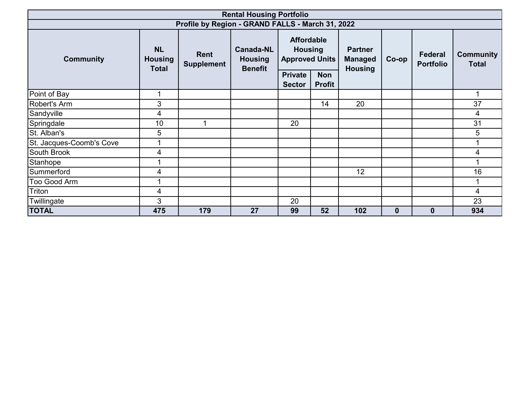| <b>Rental Housing Portfolio</b>                  |                                             |                                  |                                                      |                                                              |                             |                                                    |             |                                    |                                  |  |  |
|--------------------------------------------------|---------------------------------------------|----------------------------------|------------------------------------------------------|--------------------------------------------------------------|-----------------------------|----------------------------------------------------|-------------|------------------------------------|----------------------------------|--|--|
| Profile by Region - GRAND FALLS - March 31, 2022 |                                             |                                  |                                                      |                                                              |                             |                                                    |             |                                    |                                  |  |  |
| <b>Community</b>                                 | <b>NL</b><br><b>Housing</b><br><b>Total</b> | <b>Rent</b><br><b>Supplement</b> | <b>Canada-NL</b><br><b>Housing</b><br><b>Benefit</b> | <b>Affordable</b><br><b>Housing</b><br><b>Approved Units</b> |                             | <b>Partner</b><br><b>Managed</b><br><b>Housing</b> | $Co$ -op    | <b>Federal</b><br><b>Portfolio</b> | <b>Community</b><br><b>Total</b> |  |  |
|                                                  |                                             |                                  |                                                      | <b>Private</b><br><b>Sector</b>                              | <b>Non</b><br><b>Profit</b> |                                                    |             |                                    |                                  |  |  |
| Point of Bay                                     | 1                                           |                                  |                                                      |                                                              |                             |                                                    |             |                                    | 1                                |  |  |
| Robert's Arm                                     | 3                                           |                                  |                                                      |                                                              | 14                          | 20                                                 |             |                                    | 37                               |  |  |
| Sandyville                                       | 4                                           |                                  |                                                      |                                                              |                             |                                                    |             |                                    | 4                                |  |  |
| Springdale                                       | 10                                          |                                  |                                                      | 20                                                           |                             |                                                    |             |                                    | 31                               |  |  |
| St. Alban's                                      | 5                                           |                                  |                                                      |                                                              |                             |                                                    |             |                                    | 5                                |  |  |
| St. Jacques-Coomb's Cove                         | 1                                           |                                  |                                                      |                                                              |                             |                                                    |             |                                    |                                  |  |  |
| South Brook                                      | 4                                           |                                  |                                                      |                                                              |                             |                                                    |             |                                    | 4                                |  |  |
| Stanhope                                         |                                             |                                  |                                                      |                                                              |                             |                                                    |             |                                    |                                  |  |  |
| Summerford                                       | 4                                           |                                  |                                                      |                                                              |                             | 12                                                 |             |                                    | 16                               |  |  |
| Too Good Arm                                     | 1                                           |                                  |                                                      |                                                              |                             |                                                    |             |                                    |                                  |  |  |
| Triton                                           | 4                                           |                                  |                                                      |                                                              |                             |                                                    |             |                                    | 4                                |  |  |
| Twillingate                                      | 3                                           |                                  |                                                      | 20                                                           |                             |                                                    |             |                                    | 23                               |  |  |
| <b>TOTAL</b>                                     | 475                                         | 179                              | 27                                                   | 99                                                           | 52                          | 102                                                | $\mathbf 0$ | $\mathbf{0}$                       | 934                              |  |  |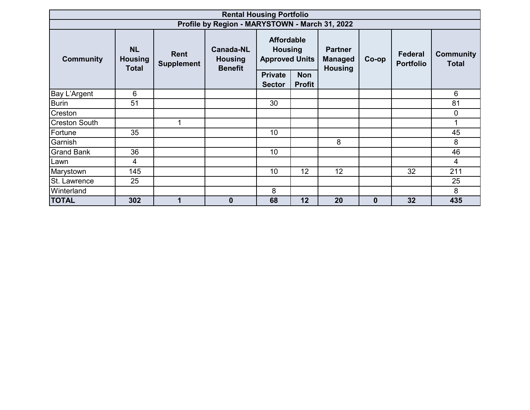|                      | <b>Rental Housing Portfolio</b>             |                                  |                                                      |                                                              |                             |                                                    |                  |                                    |                                  |  |  |  |
|----------------------|---------------------------------------------|----------------------------------|------------------------------------------------------|--------------------------------------------------------------|-----------------------------|----------------------------------------------------|------------------|------------------------------------|----------------------------------|--|--|--|
|                      |                                             |                                  | Profile by Region - MARYSTOWN - March 31, 2022       |                                                              |                             |                                                    |                  |                                    |                                  |  |  |  |
| <b>Community</b>     | <b>NL</b><br><b>Housing</b><br><b>Total</b> | <b>Rent</b><br><b>Supplement</b> | <b>Canada-NL</b><br><b>Housing</b><br><b>Benefit</b> | <b>Affordable</b><br><b>Housing</b><br><b>Approved Units</b> |                             | <b>Partner</b><br><b>Managed</b><br><b>Housing</b> | Co-op            | <b>Federal</b><br><b>Portfolio</b> | <b>Community</b><br><b>Total</b> |  |  |  |
|                      |                                             |                                  |                                                      | <b>Private</b><br><b>Sector</b>                              | <b>Non</b><br><b>Profit</b> |                                                    |                  |                                    |                                  |  |  |  |
| Bay L'Argent         | 6                                           |                                  |                                                      |                                                              |                             |                                                    |                  |                                    | 6                                |  |  |  |
| <b>Burin</b>         | 51                                          |                                  |                                                      | 30                                                           |                             |                                                    |                  |                                    | 81                               |  |  |  |
| Creston              |                                             |                                  |                                                      |                                                              |                             |                                                    |                  |                                    | $\mathbf 0$                      |  |  |  |
| <b>Creston South</b> |                                             | 1                                |                                                      |                                                              |                             |                                                    |                  |                                    | 1                                |  |  |  |
| Fortune              | 35                                          |                                  |                                                      | 10                                                           |                             |                                                    |                  |                                    | 45                               |  |  |  |
| Garnish              |                                             |                                  |                                                      |                                                              |                             | 8                                                  |                  |                                    | 8                                |  |  |  |
| <b>Grand Bank</b>    | 36                                          |                                  |                                                      | 10                                                           |                             |                                                    |                  |                                    | 46                               |  |  |  |
| Lawn                 | $\overline{4}$                              |                                  |                                                      |                                                              |                             |                                                    |                  |                                    | 4                                |  |  |  |
| Marystown            | 145                                         |                                  |                                                      | 10                                                           | 12                          | 12                                                 |                  | 32                                 | 211                              |  |  |  |
| St. Lawrence         | 25                                          |                                  |                                                      |                                                              |                             |                                                    |                  |                                    | 25                               |  |  |  |
| Winterland           |                                             |                                  |                                                      | 8                                                            |                             |                                                    |                  |                                    | 8                                |  |  |  |
| <b>TOTAL</b>         | 302                                         | 1                                | $\bf{0}$                                             | 68                                                           | 12                          | 20                                                 | $\boldsymbol{0}$ | 32                                 | 435                              |  |  |  |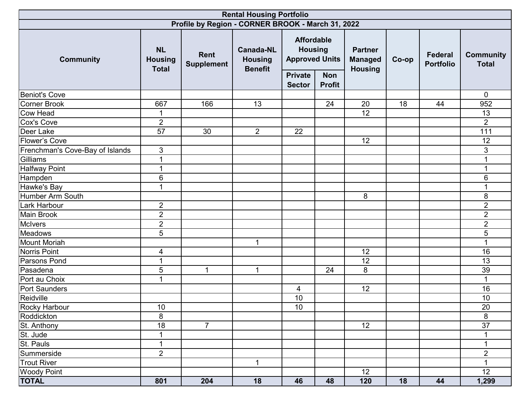| <b>Rental Housing Portfolio</b> |                                             |                                                   |                                                      |                                                                                                 |                             |                                                    |       |                             |                                  |  |  |
|---------------------------------|---------------------------------------------|---------------------------------------------------|------------------------------------------------------|-------------------------------------------------------------------------------------------------|-----------------------------|----------------------------------------------------|-------|-----------------------------|----------------------------------|--|--|
|                                 |                                             | Profile by Region - CORNER BROOK - March 31, 2022 |                                                      |                                                                                                 |                             |                                                    |       |                             |                                  |  |  |
| <b>Community</b>                | <b>NL</b><br><b>Housing</b><br><b>Total</b> | Rent<br><b>Supplement</b>                         | <b>Canada-NL</b><br><b>Housing</b><br><b>Benefit</b> | <b>Affordable</b><br><b>Housing</b><br><b>Approved Units</b><br><b>Private</b><br><b>Sector</b> | <b>Non</b><br><b>Profit</b> | <b>Partner</b><br><b>Managed</b><br><b>Housing</b> | Co-op | Federal<br><b>Portfolio</b> | <b>Community</b><br><b>Total</b> |  |  |
| <b>Beniot's Cove</b>            |                                             |                                                   |                                                      |                                                                                                 |                             |                                                    |       |                             | $\mathbf 0$                      |  |  |
| Corner Brook                    | 667                                         | 166                                               | 13                                                   |                                                                                                 | 24                          | 20                                                 | 18    | 44                          | 952                              |  |  |
| Cow Head                        |                                             |                                                   |                                                      |                                                                                                 |                             | $\overline{12}$                                    |       |                             | 13                               |  |  |
| Cox's Cove                      | $\overline{2}$                              |                                                   |                                                      |                                                                                                 |                             |                                                    |       |                             | $\overline{2}$                   |  |  |
| Deer Lake                       | 57                                          | 30                                                | $\overline{2}$                                       | 22                                                                                              |                             |                                                    |       |                             | 111                              |  |  |
| <b>Flower's Cove</b>            |                                             |                                                   |                                                      |                                                                                                 |                             | 12                                                 |       |                             | 12                               |  |  |
| Frenchman's Cove-Bay of Islands | 3                                           |                                                   |                                                      |                                                                                                 |                             |                                                    |       |                             | 3                                |  |  |
| Gilliams                        | $\mathbf 1$                                 |                                                   |                                                      |                                                                                                 |                             |                                                    |       |                             | 1                                |  |  |
| <b>Halfway Point</b>            | $\blacktriangleleft$                        |                                                   |                                                      |                                                                                                 |                             |                                                    |       |                             | 1                                |  |  |
| Hampden                         | $\,6$                                       |                                                   |                                                      |                                                                                                 |                             |                                                    |       |                             | 6                                |  |  |
| Hawke's Bay                     | $\blacktriangleleft$                        |                                                   |                                                      |                                                                                                 |                             |                                                    |       |                             |                                  |  |  |
| Humber Arm South                |                                             |                                                   |                                                      |                                                                                                 |                             | 8                                                  |       |                             | 8                                |  |  |
| <b>Lark Harbour</b>             | $\overline{2}$                              |                                                   |                                                      |                                                                                                 |                             |                                                    |       |                             | $\overline{2}$                   |  |  |
| Main Brook                      | $\overline{2}$                              |                                                   |                                                      |                                                                                                 |                             |                                                    |       |                             | $\overline{2}$                   |  |  |
| <b>McIvers</b>                  | $\overline{2}$                              |                                                   |                                                      |                                                                                                 |                             |                                                    |       |                             | $\overline{2}$                   |  |  |
| Meadows                         | 5                                           |                                                   |                                                      |                                                                                                 |                             |                                                    |       |                             | 5                                |  |  |
| Mount Moriah                    |                                             |                                                   | $\mathbf 1$                                          |                                                                                                 |                             |                                                    |       |                             |                                  |  |  |
| Norris Point                    | 4                                           |                                                   |                                                      |                                                                                                 |                             | 12                                                 |       |                             | 16                               |  |  |
| Parsons Pond                    | $\mathbf 1$                                 |                                                   |                                                      |                                                                                                 |                             | 12                                                 |       |                             | 13                               |  |  |
| Pasadena                        | 5                                           | $\mathbf 1$                                       | $\mathbf 1$                                          |                                                                                                 | 24                          | 8                                                  |       |                             | 39                               |  |  |
| Port au Choix                   | $\mathbf 1$                                 |                                                   |                                                      |                                                                                                 |                             |                                                    |       |                             |                                  |  |  |
| Port Saunders                   |                                             |                                                   |                                                      | 4                                                                                               |                             | 12                                                 |       |                             | 16                               |  |  |
| Reidville                       |                                             |                                                   |                                                      | 10                                                                                              |                             |                                                    |       |                             | 10                               |  |  |
| Rocky Harbour                   | 10                                          |                                                   |                                                      | 10                                                                                              |                             |                                                    |       |                             | 20                               |  |  |
| Roddickton                      | 8                                           |                                                   |                                                      |                                                                                                 |                             |                                                    |       |                             | $\overline{\infty}$              |  |  |
| St. Anthony                     | 18                                          | $\overline{7}$                                    |                                                      |                                                                                                 |                             | 12                                                 |       |                             | 37                               |  |  |
| St. Jude                        |                                             |                                                   |                                                      |                                                                                                 |                             |                                                    |       |                             |                                  |  |  |
| St. Pauls                       | $\mathbf 1$                                 |                                                   |                                                      |                                                                                                 |                             |                                                    |       |                             | 1                                |  |  |
| Summerside                      | $\overline{2}$                              |                                                   |                                                      |                                                                                                 |                             |                                                    |       |                             | $\overline{2}$                   |  |  |
| <b>Trout River</b>              |                                             |                                                   | $\mathbf{1}$                                         |                                                                                                 |                             |                                                    |       |                             |                                  |  |  |
| <b>Woody Point</b>              |                                             |                                                   |                                                      |                                                                                                 |                             | 12                                                 |       |                             | 12                               |  |  |
| <b>TOTAL</b>                    | 801                                         | 204                                               | 18                                                   | 46                                                                                              | 48                          | 120                                                | 18    | 44                          | 1,299                            |  |  |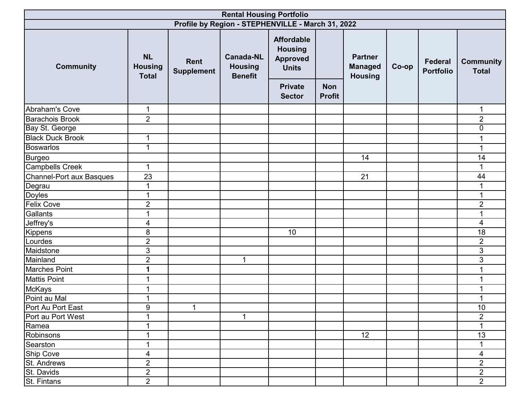| <b>Rental Housing Portfolio</b> |                                                   |                           |                                                      |                                                                        |                             |                                                    |       |                             |                                  |  |  |
|---------------------------------|---------------------------------------------------|---------------------------|------------------------------------------------------|------------------------------------------------------------------------|-----------------------------|----------------------------------------------------|-------|-----------------------------|----------------------------------|--|--|
|                                 | Profile by Region - STEPHENVILLE - March 31, 2022 |                           |                                                      |                                                                        |                             |                                                    |       |                             |                                  |  |  |
| <b>Community</b>                | <b>NL</b><br><b>Housing</b><br><b>Total</b>       | Rent<br><b>Supplement</b> | <b>Canada-NL</b><br><b>Housing</b><br><b>Benefit</b> | <b>Affordable</b><br><b>Housing</b><br><b>Approved</b><br><b>Units</b> |                             | <b>Partner</b><br><b>Managed</b><br><b>Housing</b> | Co-op | Federal<br><b>Portfolio</b> | <b>Community</b><br><b>Total</b> |  |  |
|                                 |                                                   |                           |                                                      | <b>Private</b><br><b>Sector</b>                                        | <b>Non</b><br><b>Profit</b> |                                                    |       |                             |                                  |  |  |
| Abraham's Cove                  | $\mathbf 1$                                       |                           |                                                      |                                                                        |                             |                                                    |       |                             | $\mathbf{1}$                     |  |  |
| <b>Barachois Brook</b>          | $\overline{2}$                                    |                           |                                                      |                                                                        |                             |                                                    |       |                             | $\overline{2}$                   |  |  |
| <b>Bay St. George</b>           |                                                   |                           |                                                      |                                                                        |                             |                                                    |       |                             | $\pmb{0}$                        |  |  |
| <b>Black Duck Brook</b>         | 1                                                 |                           |                                                      |                                                                        |                             |                                                    |       |                             | 1                                |  |  |
| <b>Boswarlos</b>                | 1                                                 |                           |                                                      |                                                                        |                             |                                                    |       |                             | 1                                |  |  |
| <b>Burgeo</b>                   |                                                   |                           |                                                      |                                                                        |                             | 14                                                 |       |                             | 14                               |  |  |
| <b>Campbells Creek</b>          | $\mathbf 1$                                       |                           |                                                      |                                                                        |                             |                                                    |       |                             | 1                                |  |  |
| Channel-Port aux Basques        | 23                                                |                           |                                                      |                                                                        |                             | 21                                                 |       |                             | 44                               |  |  |
| Degrau                          | $\mathbf 1$                                       |                           |                                                      |                                                                        |                             |                                                    |       |                             |                                  |  |  |
| <b>Doyles</b>                   | $\mathbf{1}$                                      |                           |                                                      |                                                                        |                             |                                                    |       |                             | 1                                |  |  |
| <b>Felix Cove</b>               | $\overline{2}$                                    |                           |                                                      |                                                                        |                             |                                                    |       |                             | $\overline{2}$                   |  |  |
| Gallants                        | 1                                                 |                           |                                                      |                                                                        |                             |                                                    |       |                             |                                  |  |  |
| Jeffrey's                       | 4                                                 |                           |                                                      |                                                                        |                             |                                                    |       |                             | 4                                |  |  |
| Kippens                         | 8                                                 |                           |                                                      | 10                                                                     |                             |                                                    |       |                             | 18                               |  |  |
| Lourdes                         | $\overline{c}$                                    |                           |                                                      |                                                                        |                             |                                                    |       |                             | $\overline{2}$                   |  |  |
| Maidstone                       | $\mathfrak{S}$                                    |                           |                                                      |                                                                        |                             |                                                    |       |                             | $\mathfrak{S}$                   |  |  |
| Mainland                        | $\overline{2}$                                    |                           | $\mathbf{1}$                                         |                                                                        |                             |                                                    |       |                             | 3                                |  |  |
| <b>Marches Point</b>            | 1                                                 |                           |                                                      |                                                                        |                             |                                                    |       |                             |                                  |  |  |
| <b>Mattis Point</b>             | 1                                                 |                           |                                                      |                                                                        |                             |                                                    |       |                             |                                  |  |  |
| <b>McKays</b>                   | 1                                                 |                           |                                                      |                                                                        |                             |                                                    |       |                             |                                  |  |  |
| Point au Mal                    | 1                                                 |                           |                                                      |                                                                        |                             |                                                    |       |                             |                                  |  |  |
| Port Au Port East               | 9                                                 | $\mathbf 1$               |                                                      |                                                                        |                             |                                                    |       |                             | $10$                             |  |  |
| Port au Port West               | 1                                                 |                           | $\mathbf{1}$                                         |                                                                        |                             |                                                    |       |                             | $\overline{2}$                   |  |  |
| Ramea                           |                                                   |                           |                                                      |                                                                        |                             |                                                    |       |                             |                                  |  |  |
| Robinsons                       |                                                   |                           |                                                      |                                                                        |                             | 12 <sup>°</sup>                                    |       |                             | 13                               |  |  |
| Searston                        | 1                                                 |                           |                                                      |                                                                        |                             |                                                    |       |                             |                                  |  |  |
| <b>Ship Cove</b>                | 4                                                 |                           |                                                      |                                                                        |                             |                                                    |       |                             | 4                                |  |  |
| St. Andrews                     | $\overline{2}$                                    |                           |                                                      |                                                                        |                             |                                                    |       |                             | $\overline{2}$                   |  |  |
| St. Davids                      | $\overline{2}$                                    |                           |                                                      |                                                                        |                             |                                                    |       |                             | $\overline{2}$                   |  |  |
| St. Fintans                     | $\overline{2}$                                    |                           |                                                      |                                                                        |                             |                                                    |       |                             | $\overline{2}$                   |  |  |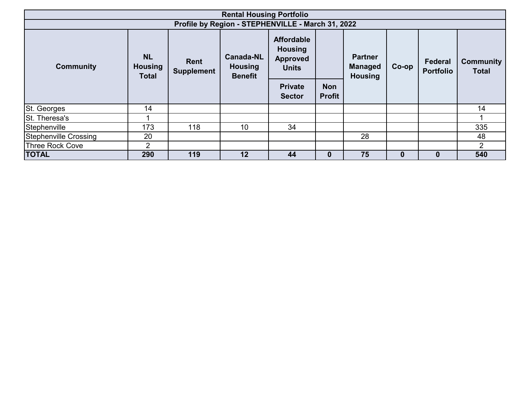|                                                   |                                             |                           | <b>Rental Housing Portfolio</b>                      |                                                                        |                             |                                                    |          |                             |                                  |  |
|---------------------------------------------------|---------------------------------------------|---------------------------|------------------------------------------------------|------------------------------------------------------------------------|-----------------------------|----------------------------------------------------|----------|-----------------------------|----------------------------------|--|
| Profile by Region - STEPHENVILLE - March 31, 2022 |                                             |                           |                                                      |                                                                        |                             |                                                    |          |                             |                                  |  |
| <b>Community</b>                                  | <b>NL</b><br><b>Housing</b><br><b>Total</b> | Rent<br><b>Supplement</b> | <b>Canada-NL</b><br><b>Housing</b><br><b>Benefit</b> | <b>Affordable</b><br><b>Housing</b><br><b>Approved</b><br><b>Units</b> |                             | <b>Partner</b><br><b>Managed</b><br><b>Housing</b> | $Co$ -op | Federal<br><b>Portfolio</b> | <b>Community</b><br><b>Total</b> |  |
|                                                   |                                             |                           |                                                      | <b>Private</b><br><b>Sector</b>                                        | <b>Non</b><br><b>Profit</b> |                                                    |          |                             |                                  |  |
| <b>St. Georges</b>                                | 14                                          |                           |                                                      |                                                                        |                             |                                                    |          |                             | 14                               |  |
| St. Theresa's                                     |                                             |                           |                                                      |                                                                        |                             |                                                    |          |                             |                                  |  |
| Stephenville                                      | 173                                         | 118                       | 10                                                   | 34                                                                     |                             |                                                    |          |                             | 335                              |  |
| Stephenville Crossing                             | 20                                          |                           |                                                      |                                                                        |                             | 28                                                 |          |                             | 48                               |  |
| <b>Three Rock Cove</b>                            | 2                                           |                           |                                                      |                                                                        |                             |                                                    |          |                             | 2                                |  |
| <b>TOTAL</b>                                      | 290                                         | 119                       | $12 \,$                                              | 44                                                                     | $\bf{0}$                    | 75                                                 | $\bf{0}$ | $\bf{0}$                    | 540                              |  |